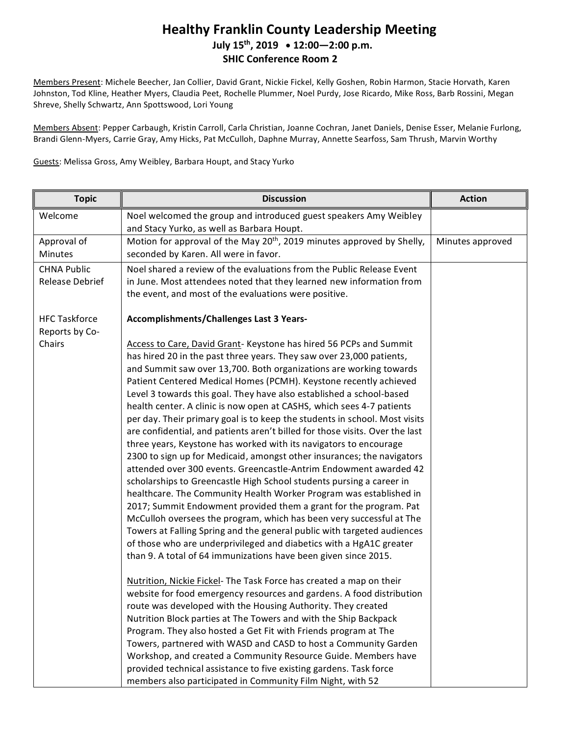### **Healthy Franklin County Leadership Meeting July 15th, 2019 12:00—2:00 p.m. SHIC Conference Room 2**

Members Present: Michele Beecher, Jan Collier, David Grant, Nickie Fickel, Kelly Goshen, Robin Harmon, Stacie Horvath, Karen Johnston, Tod Kline, Heather Myers, Claudia Peet, Rochelle Plummer, Noel Purdy, Jose Ricardo, Mike Ross, Barb Rossini, Megan Shreve, Shelly Schwartz, Ann Spottswood, Lori Young

Members Absent: Pepper Carbaugh, Kristin Carroll, Carla Christian, Joanne Cochran, Janet Daniels, Denise Esser, Melanie Furlong, Brandi Glenn-Myers, Carrie Gray, Amy Hicks, Pat McCulloh, Daphne Murray, Annette Searfoss, Sam Thrush, Marvin Worthy

Guests: Melissa Gross, Amy Weibley, Barbara Houpt, and Stacy Yurko

| <b>Topic</b>                           | <b>Discussion</b>                                                                                               | <b>Action</b>    |
|----------------------------------------|-----------------------------------------------------------------------------------------------------------------|------------------|
| Welcome                                | Noel welcomed the group and introduced guest speakers Amy Weibley<br>and Stacy Yurko, as well as Barbara Houpt. |                  |
| Approval of                            | Motion for approval of the May 20 <sup>th</sup> , 2019 minutes approved by Shelly,                              | Minutes approved |
| <b>Minutes</b>                         | seconded by Karen. All were in favor.                                                                           |                  |
| <b>CHNA Public</b>                     | Noel shared a review of the evaluations from the Public Release Event                                           |                  |
| <b>Release Debrief</b>                 | in June. Most attendees noted that they learned new information from                                            |                  |
|                                        | the event, and most of the evaluations were positive.                                                           |                  |
| <b>HFC Taskforce</b><br>Reports by Co- | <b>Accomplishments/Challenges Last 3 Years-</b>                                                                 |                  |
| Chairs                                 | Access to Care, David Grant- Keystone has hired 56 PCPs and Summit                                              |                  |
|                                        | has hired 20 in the past three years. They saw over 23,000 patients,                                            |                  |
|                                        | and Summit saw over 13,700. Both organizations are working towards                                              |                  |
|                                        | Patient Centered Medical Homes (PCMH). Keystone recently achieved                                               |                  |
|                                        | Level 3 towards this goal. They have also established a school-based                                            |                  |
|                                        | health center. A clinic is now open at CASHS, which sees 4-7 patients                                           |                  |
|                                        | per day. Their primary goal is to keep the students in school. Most visits                                      |                  |
|                                        | are confidential, and patients aren't billed for those visits. Over the last                                    |                  |
|                                        | three years, Keystone has worked with its navigators to encourage                                               |                  |
|                                        | 2300 to sign up for Medicaid, amongst other insurances; the navigators                                          |                  |
|                                        | attended over 300 events. Greencastle-Antrim Endowment awarded 42                                               |                  |
|                                        | scholarships to Greencastle High School students pursing a career in                                            |                  |
|                                        | healthcare. The Community Health Worker Program was established in                                              |                  |
|                                        | 2017; Summit Endowment provided them a grant for the program. Pat                                               |                  |
|                                        | McCulloh oversees the program, which has been very successful at The                                            |                  |
|                                        | Towers at Falling Spring and the general public with targeted audiences                                         |                  |
|                                        | of those who are underprivileged and diabetics with a HgA1C greater                                             |                  |
|                                        | than 9. A total of 64 immunizations have been given since 2015.                                                 |                  |
|                                        | Nutrition, Nickie Fickel- The Task Force has created a map on their                                             |                  |
|                                        | website for food emergency resources and gardens. A food distribution                                           |                  |
|                                        | route was developed with the Housing Authority. They created                                                    |                  |
|                                        | Nutrition Block parties at The Towers and with the Ship Backpack                                                |                  |
|                                        | Program. They also hosted a Get Fit with Friends program at The                                                 |                  |
|                                        | Towers, partnered with WASD and CASD to host a Community Garden                                                 |                  |
|                                        | Workshop, and created a Community Resource Guide. Members have                                                  |                  |
|                                        | provided technical assistance to five existing gardens. Task force                                              |                  |
|                                        | members also participated in Community Film Night, with 52                                                      |                  |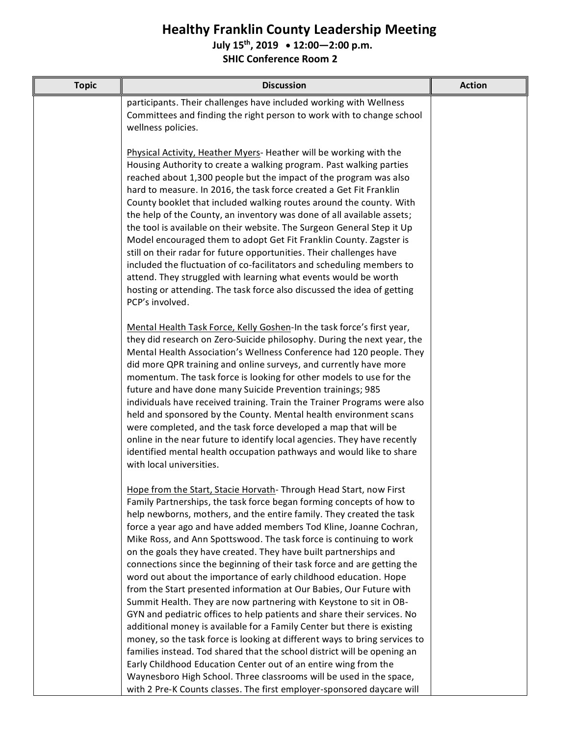## **Healthy Franklin County Leadership Meeting**

#### **July 15th, 2019 12:00—2:00 p.m.**

**SHIC Conference Room 2**

| <b>Topic</b> | <b>Discussion</b>                                                                                                                                                                                                                                                                                                                                                                                                                                                                                                                                                                                                                                                                                                                                                                                                                                                                                                                                                                                                                                                                                                                                                                        | <b>Action</b> |
|--------------|------------------------------------------------------------------------------------------------------------------------------------------------------------------------------------------------------------------------------------------------------------------------------------------------------------------------------------------------------------------------------------------------------------------------------------------------------------------------------------------------------------------------------------------------------------------------------------------------------------------------------------------------------------------------------------------------------------------------------------------------------------------------------------------------------------------------------------------------------------------------------------------------------------------------------------------------------------------------------------------------------------------------------------------------------------------------------------------------------------------------------------------------------------------------------------------|---------------|
|              | participants. Their challenges have included working with Wellness<br>Committees and finding the right person to work with to change school<br>wellness policies.                                                                                                                                                                                                                                                                                                                                                                                                                                                                                                                                                                                                                                                                                                                                                                                                                                                                                                                                                                                                                        |               |
|              | Physical Activity, Heather Myers-Heather will be working with the<br>Housing Authority to create a walking program. Past walking parties<br>reached about 1,300 people but the impact of the program was also<br>hard to measure. In 2016, the task force created a Get Fit Franklin<br>County booklet that included walking routes around the county. With<br>the help of the County, an inventory was done of all available assets;<br>the tool is available on their website. The Surgeon General Step it Up<br>Model encouraged them to adopt Get Fit Franklin County. Zagster is<br>still on their radar for future opportunities. Their challenges have<br>included the fluctuation of co-facilitators and scheduling members to<br>attend. They struggled with learning what events would be worth<br>hosting or attending. The task force also discussed the idea of getting<br>PCP's involved.                                                                                                                                                                                                                                                                                  |               |
|              | Mental Health Task Force, Kelly Goshen-In the task force's first year,<br>they did research on Zero-Suicide philosophy. During the next year, the<br>Mental Health Association's Wellness Conference had 120 people. They<br>did more QPR training and online surveys, and currently have more<br>momentum. The task force is looking for other models to use for the<br>future and have done many Suicide Prevention trainings; 985<br>individuals have received training. Train the Trainer Programs were also<br>held and sponsored by the County. Mental health environment scans<br>were completed, and the task force developed a map that will be<br>online in the near future to identify local agencies. They have recently<br>identified mental health occupation pathways and would like to share<br>with local universities.                                                                                                                                                                                                                                                                                                                                                 |               |
|              | Hope from the Start, Stacie Horvath-Through Head Start, now First<br>Family Partnerships, the task force began forming concepts of how to<br>help newborns, mothers, and the entire family. They created the task<br>force a year ago and have added members Tod Kline, Joanne Cochran,<br>Mike Ross, and Ann Spottswood. The task force is continuing to work<br>on the goals they have created. They have built partnerships and<br>connections since the beginning of their task force and are getting the<br>word out about the importance of early childhood education. Hope<br>from the Start presented information at Our Babies, Our Future with<br>Summit Health. They are now partnering with Keystone to sit in OB-<br>GYN and pediatric offices to help patients and share their services. No<br>additional money is available for a Family Center but there is existing<br>money, so the task force is looking at different ways to bring services to<br>families instead. Tod shared that the school district will be opening an<br>Early Childhood Education Center out of an entire wing from the<br>Waynesboro High School. Three classrooms will be used in the space, |               |
|              | with 2 Pre-K Counts classes. The first employer-sponsored daycare will                                                                                                                                                                                                                                                                                                                                                                                                                                                                                                                                                                                                                                                                                                                                                                                                                                                                                                                                                                                                                                                                                                                   |               |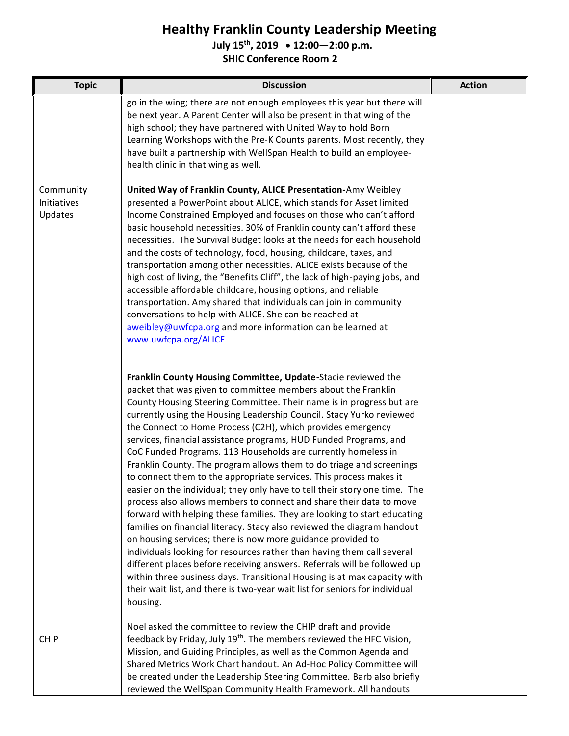# **Healthy Franklin County Leadership Meeting**

**July 15th, 2019 12:00—2:00 p.m.**

**SHIC Conference Room 2**

| <b>Topic</b>                        | <b>Discussion</b>                                                                                                                                                                                                                                                                                                                                                                                                                                                                                                                                                                                                                                                                                                                                                                                                                                                                                                                                                                                                                                                                                                                                                                                                                                                                                                                         | <b>Action</b> |
|-------------------------------------|-------------------------------------------------------------------------------------------------------------------------------------------------------------------------------------------------------------------------------------------------------------------------------------------------------------------------------------------------------------------------------------------------------------------------------------------------------------------------------------------------------------------------------------------------------------------------------------------------------------------------------------------------------------------------------------------------------------------------------------------------------------------------------------------------------------------------------------------------------------------------------------------------------------------------------------------------------------------------------------------------------------------------------------------------------------------------------------------------------------------------------------------------------------------------------------------------------------------------------------------------------------------------------------------------------------------------------------------|---------------|
|                                     | go in the wing; there are not enough employees this year but there will<br>be next year. A Parent Center will also be present in that wing of the<br>high school; they have partnered with United Way to hold Born<br>Learning Workshops with the Pre-K Counts parents. Most recently, they<br>have built a partnership with WellSpan Health to build an employee-<br>health clinic in that wing as well.                                                                                                                                                                                                                                                                                                                                                                                                                                                                                                                                                                                                                                                                                                                                                                                                                                                                                                                                 |               |
| Community<br>Initiatives<br>Updates | United Way of Franklin County, ALICE Presentation-Amy Weibley<br>presented a PowerPoint about ALICE, which stands for Asset limited<br>Income Constrained Employed and focuses on those who can't afford<br>basic household necessities. 30% of Franklin county can't afford these<br>necessities. The Survival Budget looks at the needs for each household<br>and the costs of technology, food, housing, childcare, taxes, and<br>transportation among other necessities. ALICE exists because of the<br>high cost of living, the "Benefits Cliff", the lack of high-paying jobs, and<br>accessible affordable childcare, housing options, and reliable<br>transportation. Amy shared that individuals can join in community<br>conversations to help with ALICE. She can be reached at<br>aweibley@uwfcpa.org and more information can be learned at<br>www.uwfcpa.org/ALICE                                                                                                                                                                                                                                                                                                                                                                                                                                                          |               |
|                                     | Franklin County Housing Committee, Update-Stacie reviewed the<br>packet that was given to committee members about the Franklin<br>County Housing Steering Committee. Their name is in progress but are<br>currently using the Housing Leadership Council. Stacy Yurko reviewed<br>the Connect to Home Process (C2H), which provides emergency<br>services, financial assistance programs, HUD Funded Programs, and<br>CoC Funded Programs. 113 Households are currently homeless in<br>Franklin County. The program allows them to do triage and screenings<br>to connect them to the appropriate services. This process makes it<br>easier on the individual; they only have to tell their story one time. The<br>process also allows members to connect and share their data to move<br>forward with helping these families. They are looking to start educating<br>families on financial literacy. Stacy also reviewed the diagram handout<br>on housing services; there is now more guidance provided to<br>individuals looking for resources rather than having them call several<br>different places before receiving answers. Referrals will be followed up<br>within three business days. Transitional Housing is at max capacity with<br>their wait list, and there is two-year wait list for seniors for individual<br>housing. |               |
| <b>CHIP</b>                         | Noel asked the committee to review the CHIP draft and provide<br>feedback by Friday, July 19 <sup>th</sup> . The members reviewed the HFC Vision,<br>Mission, and Guiding Principles, as well as the Common Agenda and<br>Shared Metrics Work Chart handout. An Ad-Hoc Policy Committee will<br>be created under the Leadership Steering Committee. Barb also briefly<br>reviewed the WellSpan Community Health Framework. All handouts                                                                                                                                                                                                                                                                                                                                                                                                                                                                                                                                                                                                                                                                                                                                                                                                                                                                                                   |               |